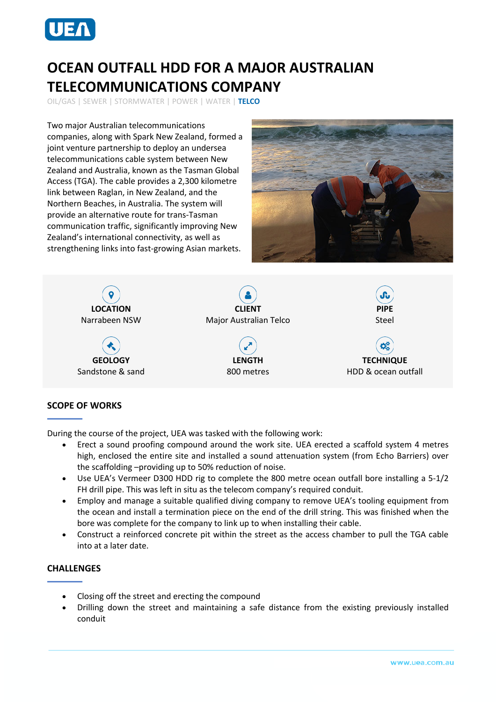

## **OCEAN OUTFALL HDD FOR A MAJOR AUSTRALIAN TELECOMMUNICATIONS COMPANY**

OIL/GAS | SEWER | STORMWATER | POWER | WATER | **TELCO**

Two major Australian telecommunications companies, along with Spark New Zealand, formed a joint venture partnership to deploy an undersea telecommunications cable system between New Zealand and Australia, known as the Tasman Global Access (TGA). The cable provides a 2,300 kilometre link between Raglan, in New Zealand, and the Northern Beaches, in Australia. The system will provide an alternative route for trans-Tasman communication traffic, significantly improving New Zealand's international connectivity, as well as strengthening links into fast-growing Asian markets.





## **SCOPE OF WORKS**

During the course of the project, UEA was tasked with the following work:

- Erect a sound proofing compound around the work site. UEA erected a scaffold system 4 metres high, enclosed the entire site and installed a sound attenuation system (from Echo Barriers) over the scaffolding –providing up to 50% reduction of noise.
- Use UEA's Vermeer D300 HDD rig to complete the 800 metre ocean outfall bore installing a 5-1/2 FH drill pipe. This was left in situ as the telecom company's required conduit.
- Employ and manage a suitable qualified diving company to remove UEA's tooling equipment from the ocean and install a termination piece on the end of the drill string. This was finished when the bore was complete for the company to link up to when installing their cable.
- Construct a reinforced concrete pit within the street as the access chamber to pull the TGA cable into at a later date.

## **CHALLENGES**

- Closing off the street and erecting the compound
- Drilling down the street and maintaining a safe distance from the existing previously installed conduit